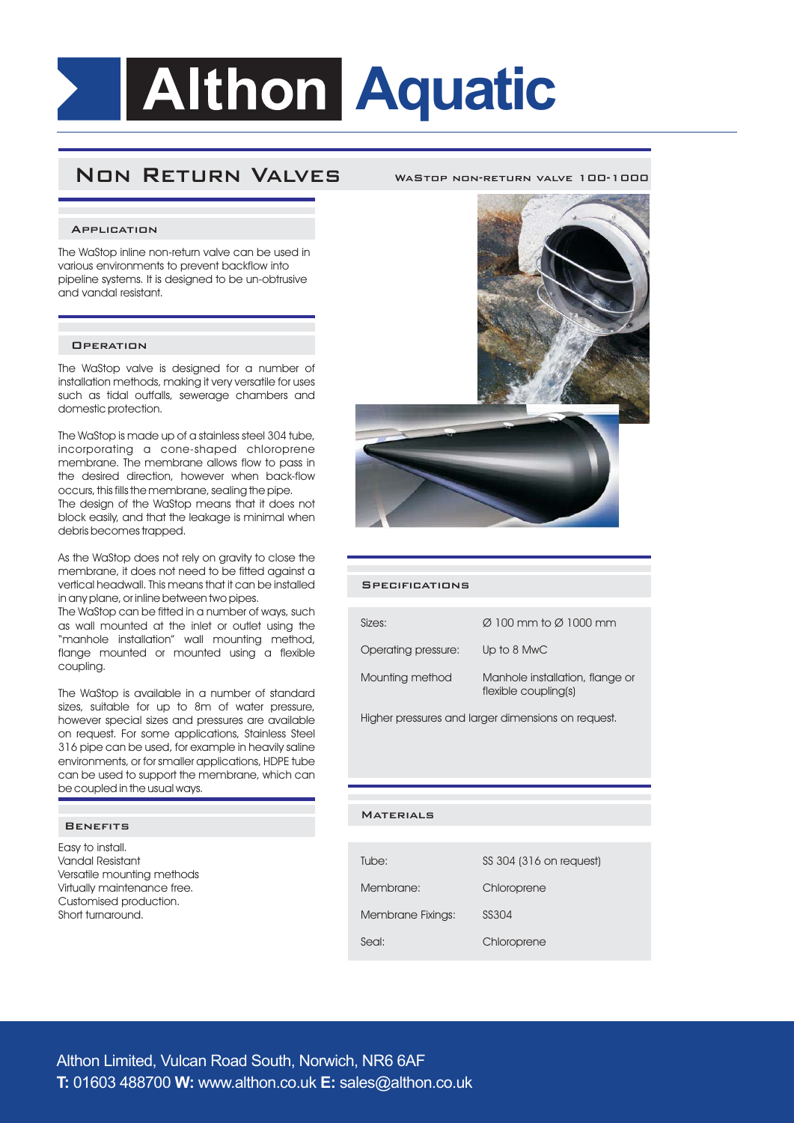# **Althon Aquatic**

# **Non Return Valves**

#### **WASTOP NON-PETURN VALVE 100-1000**

#### **Application**

The WaStop inline non-return valve can be used in various environments to prevent backflow into pipeline systems. It is designed to be un-obtrusive and vandal resistant.

### **Operation**

The WaStop valve is designed for a number of installation methods, making it very versatile for uses such as tidal outfalls, sewerage chambers and domestic protection.

The WaStop is made up of a stainless steel 304 tube, incorporating a cone-shaped chloroprene membrane. The membrane allows flow to pass in the desired direction, however when back-flow occurs, this fills the membrane, sealing the pipe. The design of the WaStop means that it does not block easily, and that the leakage is minimal when debris becomes trapped.

As the WaStop does not rely on gravity to close the membrane, it does not need to be fitted against a vertical headwall. This means that it can be installed in any plane, or inline between two pipes.

The WaStop can be fitted in a number of ways, such as wall mounted at the inlet or outlet using the "manhole installation" wall mounting method, flange mounted or mounted using a flexible coupling.

The WaStop is available in a number of standard sizes, suitable for up to 8m of water pressure, however special sizes and pressures are available on request. For some applications, Stainless Steel 316 pipe can be used, for example in heavily saline environments, or for smaller applications, HDPE tube can be used to support the membrane, which can be coupled in the usual ways.

#### **Benefits**

Easy to install. Vandal Resistant Versatile mounting methods Virtually maintenance free. Customised production. Short turnaround.



#### **Specifications**

| Sizes:              | $\varnothing$ 100 mm to $\varnothing$ 1000 mm           |
|---------------------|---------------------------------------------------------|
| Operating pressure: | Up to 8 MwC                                             |
| Mounting method     | Manhole installation, flange or<br>flexible coupling(s) |

Higher pressures and larger dimensions on request.

#### **Materials**

| Tube:                    | SS 304 (316 on request) |
|--------------------------|-------------------------|
| Membrane:                | Chloroprene             |
| <b>Membrane Fixings:</b> | SS304                   |
| Seal:                    | Chloroprene             |